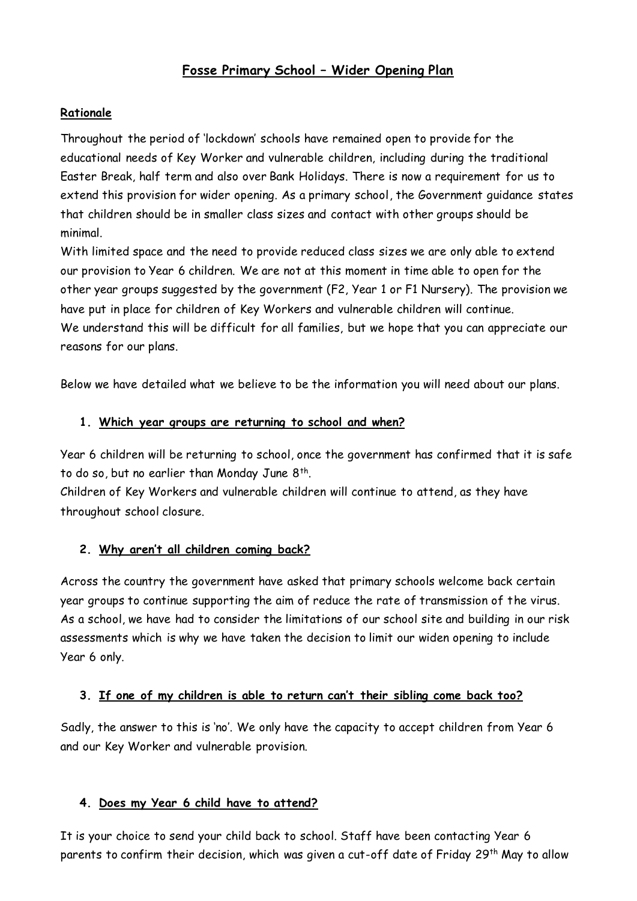# **Fosse Primary School – Wider Opening Plan**

#### **Rationale**

Throughout the period of 'lockdown' schools have remained open to provide for the educational needs of Key Worker and vulnerable children, including during the traditional Easter Break, half term and also over Bank Holidays. There is now a requirement for us to extend this provision for wider opening. As a primary school, the Government guidance states that children should be in smaller class sizes and contact with other groups should be minimal.

With limited space and the need to provide reduced class sizes we are only able to extend our provision to Year 6 children. We are not at this moment in time able to open for the other year groups suggested by the government (F2, Year 1 or F1 Nursery). The provision we have put in place for children of Key Workers and vulnerable children will continue. We understand this will be difficult for all families, but we hope that you can appreciate our reasons for our plans.

Below we have detailed what we believe to be the information you will need about our plans.

#### **1. Which year groups are returning to school and when?**

Year 6 children will be returning to school, once the government has confirmed that it is safe to do so, but no earlier than Monday June 8th .

Children of Key Workers and vulnerable children will continue to attend, as they have throughout school closure.

#### **2. Why aren't all children coming back?**

Across the country the government have asked that primary schools welcome back certain year groups to continue supporting the aim of reduce the rate of transmission of the virus. As a school, we have had to consider the limitations of our school site and building in our risk assessments which is why we have taken the decision to limit our widen opening to include Year 6 only.

#### **3. If one of my children is able to return can't their sibling come back too?**

Sadly, the answer to this is 'no'. We only have the capacity to accept children from Year 6 and our Key Worker and vulnerable provision.

#### **4. Does my Year 6 child have to attend?**

It is your choice to send your child back to school. Staff have been contacting Year 6 parents to confirm their decision, which was given a cut-off date of Friday 29<sup>th</sup> May to allow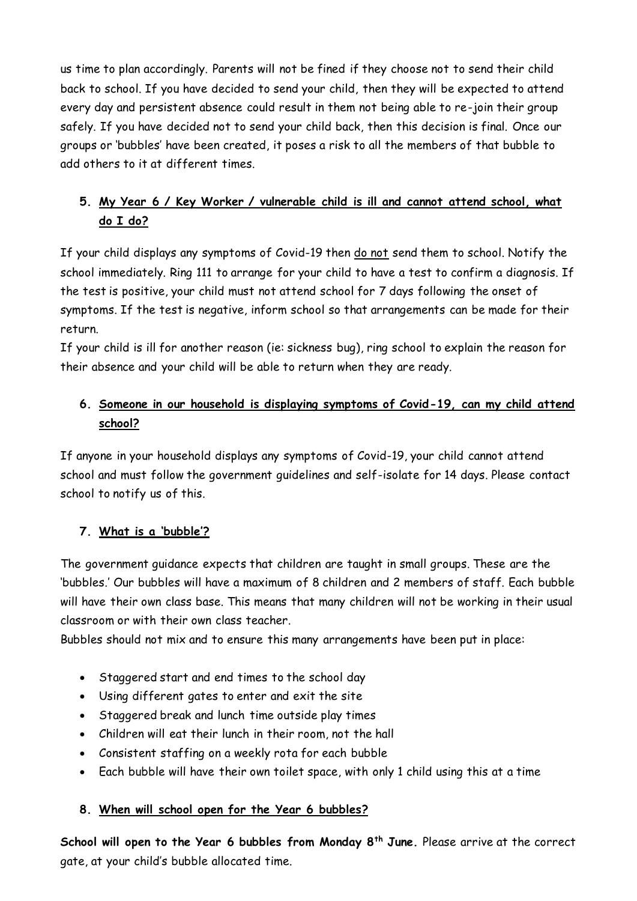us time to plan accordingly. Parents will not be fined if they choose not to send their child back to school. If you have decided to send your child, then they will be expected to attend every day and persistent absence could result in them not being able to re-join their group safely. If you have decided not to send your child back, then this decision is final. Once our groups or 'bubbles' have been created, it poses a risk to all the members of that bubble to add others to it at different times.

# **5. My Year 6 / Key Worker / vulnerable child is ill and cannot attend school, what do I do?**

If your child displays any symptoms of Covid-19 then do not send them to school. Notify the school immediately. Ring 111 to arrange for your child to have a test to confirm a diagnosis. If the test is positive, your child must not attend school for 7 days following the onset of symptoms. If the test is negative, inform school so that arrangements can be made for their return.

If your child is ill for another reason (ie: sickness bug), ring school to explain the reason for their absence and your child will be able to return when they are ready.

# **6. Someone in our household is displaying symptoms of Covid-19, can my child attend school?**

If anyone in your household displays any symptoms of Covid-19, your child cannot attend school and must follow the government guidelines and self-isolate for 14 days. Please contact school to notify us of this.

# **7. What is a 'bubble'?**

The government guidance expects that children are taught in small groups. These are the 'bubbles.' Our bubbles will have a maximum of 8 children and 2 members of staff. Each bubble will have their own class base. This means that many children will not be working in their usual classroom or with their own class teacher.

Bubbles should not mix and to ensure this many arrangements have been put in place:

- Staggered start and end times to the school day
- Using different gates to enter and exit the site
- Staggered break and lunch time outside play times
- Children will eat their lunch in their room, not the hall
- Consistent staffing on a weekly rota for each bubble
- Each bubble will have their own toilet space, with only 1 child using this at a time

#### **8. When will school open for the Year 6 bubbles?**

**School will open to the Year 6 bubbles from Monday 8th June.** Please arrive at the correct gate, at your child's bubble allocated time.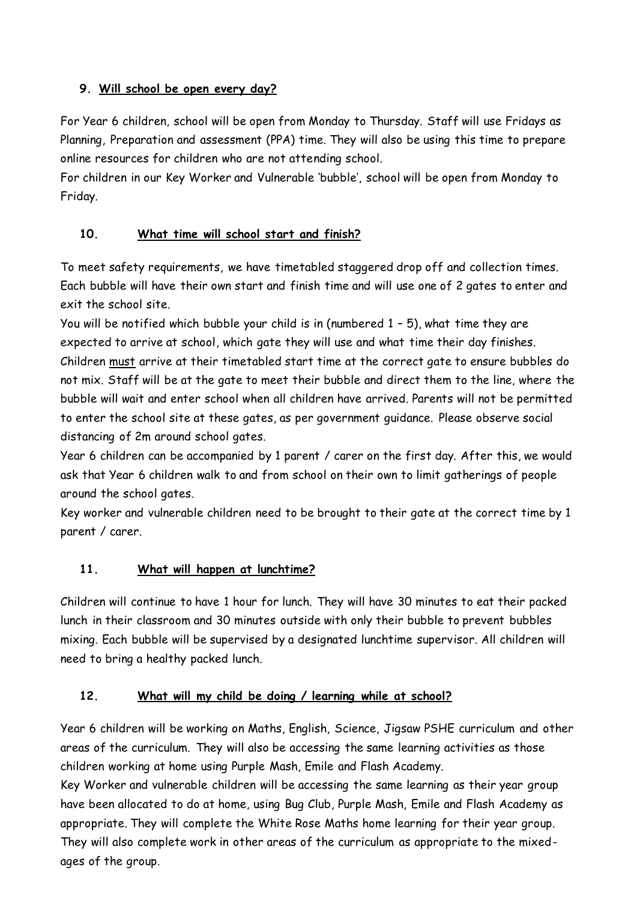## **9. Will school be open every day?**

For Year 6 children, school will be open from Monday to Thursday. Staff will use Fridays as Planning, Preparation and assessment (PPA) time. They will also be using this time to prepare online resources for children who are not attending school.

For children in our Key Worker and Vulnerable 'bubble', school will be open from Monday to Friday.

## **10. What time will school start and finish?**

To meet safety requirements, we have timetabled staggered drop off and collection times. Each bubble will have their own start and finish time and will use one of 2 gates to enter and exit the school site.

You will be notified which bubble your child is in (numbered 1 – 5), what time they are expected to arrive at school, which gate they will use and what time their day finishes. Children must arrive at their timetabled start time at the correct gate to ensure bubbles do not mix. Staff will be at the gate to meet their bubble and direct them to the line, where the bubble will wait and enter school when all children have arrived. Parents will not be permitted to enter the school site at these gates, as per government guidance. Please observe social distancing of 2m around school gates.

Year 6 children can be accompanied by 1 parent / carer on the first day. After this, we would ask that Year 6 children walk to and from school on their own to limit gatherings of people around the school gates.

Key worker and vulnerable children need to be brought to their gate at the correct time by 1 parent / carer.

#### **11. What will happen at lunchtime?**

Children will continue to have 1 hour for lunch. They will have 30 minutes to eat their packed lunch in their classroom and 30 minutes outside with only their bubble to prevent bubbles mixing. Each bubble will be supervised by a designated lunchtime supervisor. All children will need to bring a healthy packed lunch.

#### **12. What will my child be doing / learning while at school?**

Year 6 children will be working on Maths, English, Science, Jigsaw PSHE curriculum and other areas of the curriculum. They will also be accessing the same learning activities as those children working at home using Purple Mash, Emile and Flash Academy.

Key Worker and vulnerable children will be accessing the same learning as their year group have been allocated to do at home, using Bug Club, Purple Mash, Emile and Flash Academy as appropriate. They will complete the White Rose Maths home learning for their year group. They will also complete work in other areas of the curriculum as appropriate to the mixedages of the group.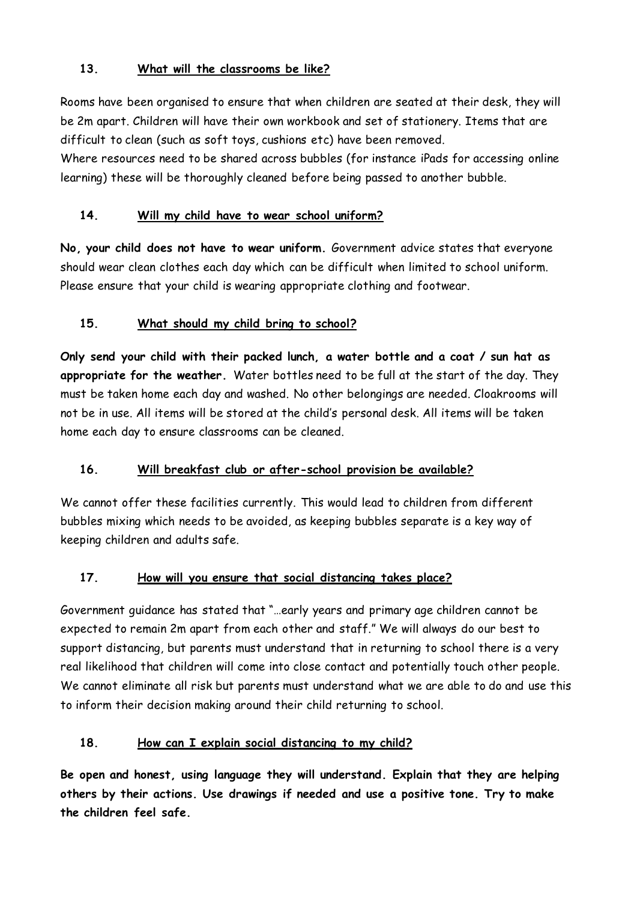#### **13. What will the classrooms be like?**

Rooms have been organised to ensure that when children are seated at their desk, they will be 2m apart. Children will have their own workbook and set of stationery. Items that are difficult to clean (such as soft toys, cushions etc) have been removed.

Where resources need to be shared across bubbles (for instance iPads for accessing online learning) these will be thoroughly cleaned before being passed to another bubble.

#### **14. Will my child have to wear school uniform?**

**No, your child does not have to wear uniform.** Government advice states that everyone should wear clean clothes each day which can be difficult when limited to school uniform. Please ensure that your child is wearing appropriate clothing and footwear.

## **15. What should my child bring to school?**

**Only send your child with their packed lunch, a water bottle and a coat / sun hat as appropriate for the weather.** Water bottles need to be full at the start of the day. They must be taken home each day and washed. No other belongings are needed. Cloakrooms will not be in use. All items will be stored at the child's personal desk. All items will be taken home each day to ensure classrooms can be cleaned.

#### **16. Will breakfast club or after-school provision be available?**

We cannot offer these facilities currently. This would lead to children from different bubbles mixing which needs to be avoided, as keeping bubbles separate is a key way of keeping children and adults safe.

#### **17. How will you ensure that social distancing takes place?**

Government guidance has stated that "…early years and primary age children cannot be expected to remain 2m apart from each other and staff." We will always do our best to support distancing, but parents must understand that in returning to school there is a very real likelihood that children will come into close contact and potentially touch other people. We cannot eliminate all risk but parents must understand what we are able to do and use this to inform their decision making around their child returning to school.

#### **18. How can I explain social distancing to my child?**

**Be open and honest, using language they will understand. Explain that they are helping others by their actions. Use drawings if needed and use a positive tone. Try to make the children feel safe.**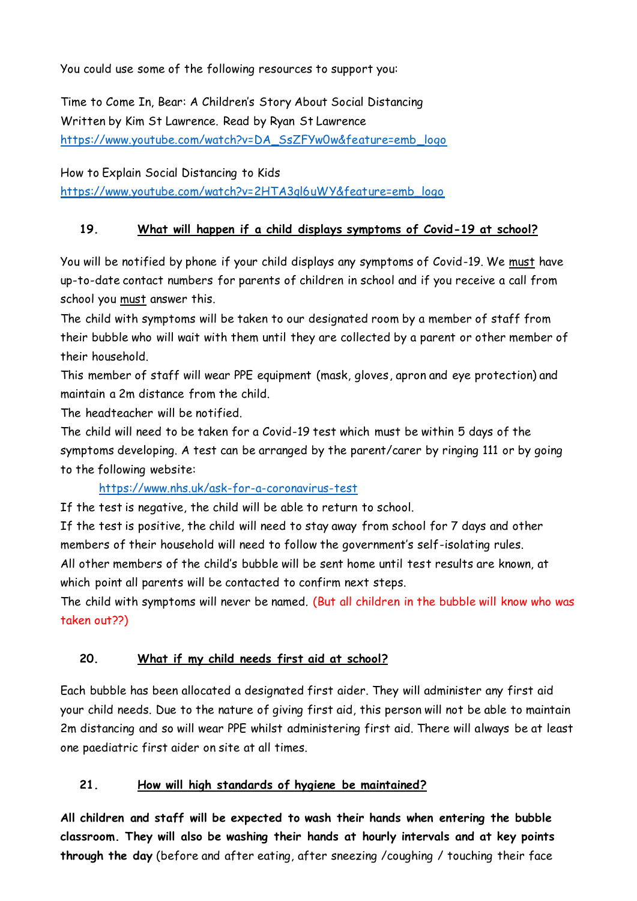You could use some of the following resources to support you:

Time to Come In, Bear: A Children's Story About Social Distancing Written by Kim St Lawrence. Read by Ryan St Lawrence [https://www.youtube.com/watch?v=DA\\_SsZFYw0w&feature=emb\\_logo](https://www.youtube.com/watch?v=DA_SsZFYw0w&feature=emb_logo)

How to Explain Social Distancing to Kids [https://www.youtube.com/watch?v=2HTA3ql6uWY&feature=emb\\_logo](https://www.youtube.com/watch?v=2HTA3ql6uWY&feature=emb_logo)

#### **19. What will happen if a child displays symptoms of Covid-19 at school?**

You will be notified by phone if your child displays any symptoms of Covid-19. We must have up-to-date contact numbers for parents of children in school and if you receive a call from school you must answer this.

The child with symptoms will be taken to our designated room by a member of staff from their bubble who will wait with them until they are collected by a parent or other member of their household.

This member of staff will wear PPE equipment (mask, gloves, apron and eye protection) and maintain a 2m distance from the child.

The headteacher will be notified.

The child will need to be taken for a Covid-19 test which must be within 5 days of the symptoms developing. A test can be arranged by the parent/carer by ringing 111 or by going to the following website:

#### <https://www.nhs.uk/ask-for-a-coronavirus-test>

If the test is negative, the child will be able to return to school.

If the test is positive, the child will need to stay away from school for 7 days and other members of their household will need to follow the government's self-isolating rules.

All other members of the child's bubble will be sent home until test results are known, at which point all parents will be contacted to confirm next steps.

The child with symptoms will never be named. (But all children in the bubble will know who was taken out??)

#### **20. What if my child needs first aid at school?**

Each bubble has been allocated a designated first aider. They will administer any first aid your child needs. Due to the nature of giving first aid, this person will not be able to maintain 2m distancing and so will wear PPE whilst administering first aid. There will always be at least one paediatric first aider on site at all times.

#### **21. How will high standards of hygiene be maintained?**

**All children and staff will be expected to wash their hands when entering the bubble classroom. They will also be washing their hands at hourly intervals and at key points through the day** (before and after eating, after sneezing /coughing / touching their face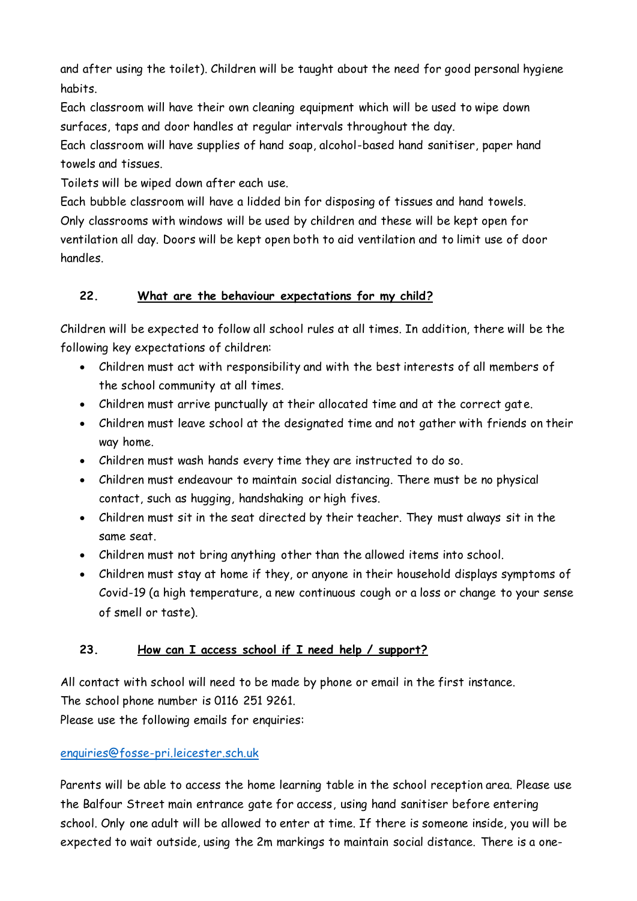and after using the toilet). Children will be taught about the need for good personal hygiene habits.

Each classroom will have their own cleaning equipment which will be used to wipe down surfaces, taps and door handles at regular intervals throughout the day.

Each classroom will have supplies of hand soap, alcohol-based hand sanitiser, paper hand towels and tissues.

Toilets will be wiped down after each use.

Each bubble classroom will have a lidded bin for disposing of tissues and hand towels. Only classrooms with windows will be used by children and these will be kept open for ventilation all day. Doors will be kept open both to aid ventilation and to limit use of door handles.

## **22. What are the behaviour expectations for my child?**

Children will be expected to follow all school rules at all times. In addition, there will be the following key expectations of children:

- Children must act with responsibility and with the best interests of all members of the school community at all times.
- Children must arrive punctually at their allocated time and at the correct gate.
- Children must leave school at the designated time and not gather with friends on their way home.
- Children must wash hands every time they are instructed to do so.
- Children must endeavour to maintain social distancing. There must be no physical contact, such as hugging, handshaking or high fives.
- Children must sit in the seat directed by their teacher. They must always sit in the same seat.
- Children must not bring anything other than the allowed items into school.
- Children must stay at home if they, or anyone in their household displays symptoms of Covid-19 (a high temperature, a new continuous cough or a loss or change to your sense of smell or taste).

#### **23. How can I access school if I need help / support?**

All contact with school will need to be made by phone or email in the first instance. The school phone number is 0116 251 9261.

Please use the following emails for enquiries:

# [enquiries@fosse-pri.leicester.sch.uk](mailto:enquiries@fosse-pri.leicester.sch.uk)

Parents will be able to access the home learning table in the school reception area. Please use the Balfour Street main entrance gate for access, using hand sanitiser before entering school. Only one adult will be allowed to enter at time. If there is someone inside, you will be expected to wait outside, using the 2m markings to maintain social distance. There is a one